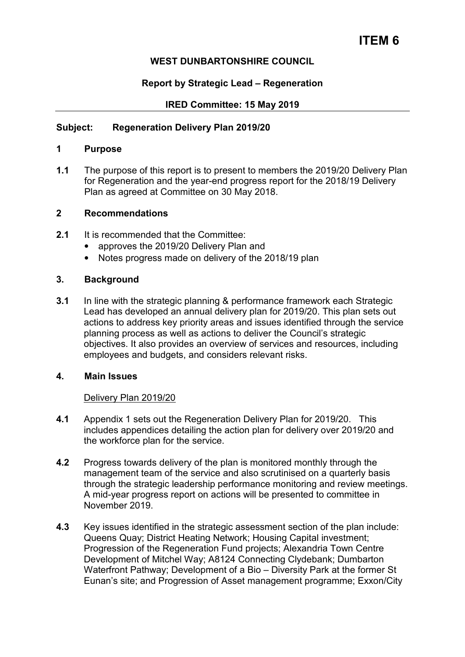# **ITEM 6**

# **WEST DUNBARTONSHIRE COUNCIL**

## **Report by Strategic Lead – Regeneration**

## **IRED Committee: 15 May 2019**

## **Subject: Regeneration Delivery Plan 2019/20**

#### **1 Purpose**

**1.1** The purpose of this report is to present to members the 2019/20 Delivery Plan for Regeneration and the year-end progress report for the 2018/19 Delivery Plan as agreed at Committee on 30 May 2018.

#### **2 Recommendations**

- **2.1** It is recommended that the Committee:
	- approves the 2019/20 Delivery Plan and
	- Notes progress made on delivery of the 2018/19 plan

#### **3. Background**

**3.1** In line with the strategic planning & performance framework each Strategic Lead has developed an annual delivery plan for 2019/20. This plan sets out actions to address key priority areas and issues identified through the service planning process as well as actions to deliver the Council's strategic objectives. It also provides an overview of services and resources, including employees and budgets, and considers relevant risks.

#### **4. Main Issues**

#### Delivery Plan 2019/20

- **4.1** Appendix 1 sets out the Regeneration Delivery Plan for 2019/20. This includes appendices detailing the action plan for delivery over 2019/20 and the workforce plan for the service.
- **4.2** Progress towards delivery of the plan is monitored monthly through the management team of the service and also scrutinised on a quarterly basis through the strategic leadership performance monitoring and review meetings. A mid-year progress report on actions will be presented to committee in November 2019.
- **4.3** Key issues identified in the strategic assessment section of the plan include: Queens Quay; District Heating Network; Housing Capital investment; Progression of the Regeneration Fund projects; Alexandria Town Centre Development of Mitchel Way; A8124 Connecting Clydebank; Dumbarton Waterfront Pathway; Development of a Bio – Diversity Park at the former St Eunan's site; and Progression of Asset management programme; Exxon/City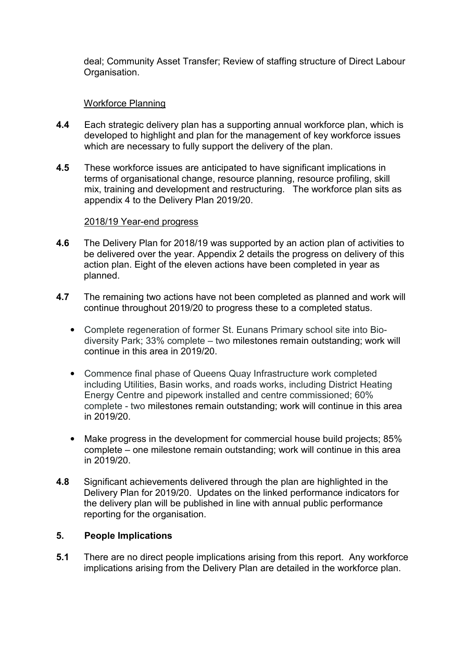deal; Community Asset Transfer; Review of staffing structure of Direct Labour Organisation.

## Workforce Planning

- **4.4** Each strategic delivery plan has a supporting annual workforce plan, which is developed to highlight and plan for the management of key workforce issues which are necessary to fully support the delivery of the plan.
- **4.5** These workforce issues are anticipated to have significant implications in terms of organisational change, resource planning, resource profiling, skill mix, training and development and restructuring. The workforce plan sits as appendix 4 to the Delivery Plan 2019/20.

#### 2018/19 Year-end progress

- **4.6** The Delivery Plan for 2018/19 was supported by an action plan of activities to be delivered over the year. Appendix 2 details the progress on delivery of this action plan. Eight of the eleven actions have been completed in year as planned.
- **4.7** The remaining two actions have not been completed as planned and work will continue throughout 2019/20 to progress these to a completed status.
	- Complete regeneration of former St. Eunans Primary school site into Biodiversity Park; 33% complete – two milestones remain outstanding; work will continue in this area in 2019/20.
	- Commence final phase of Queens Quay Infrastructure work completed including Utilities, Basin works, and roads works, including District Heating Energy Centre and pipework installed and centre commissioned; 60% complete - two milestones remain outstanding; work will continue in this area in 2019/20.
	- Make progress in the development for commercial house build projects; 85% complete – one milestone remain outstanding; work will continue in this area in 2019/20.
- **4.8** Significant achievements delivered through the plan are highlighted in the Delivery Plan for 2019/20. Updates on the linked performance indicators for the delivery plan will be published in line with annual public performance reporting for the organisation.

#### **5. People Implications**

**5.1** There are no direct people implications arising from this report. Any workforce implications arising from the Delivery Plan are detailed in the workforce plan.